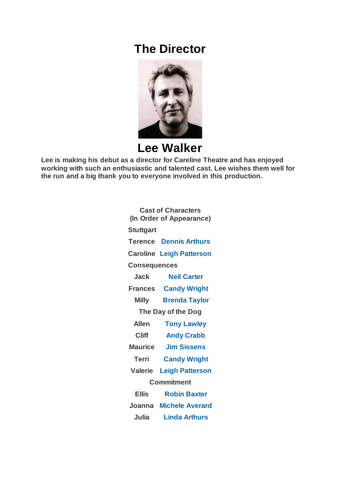## **The Director**



## **Lee Walker**

**Lee is making his debut as a director for Careline Theatre and has enjoyed working with such an enthusiastic and talented cast. Lee wishes them well for the run and a big thank you to everyone involved in this production.**

| <b>Cast of Characters</b><br>(In Order of Appearance) |                                 |
|-------------------------------------------------------|---------------------------------|
|                                                       |                                 |
| <b>Stuttgart</b>                                      |                                 |
|                                                       | <b>Terence Dennis Arthurs</b>   |
|                                                       | <b>Caroline Leigh Patterson</b> |
| <b>Consequences</b>                                   |                                 |
| Jack                                                  | <b>Neil Carter</b>              |
| <b>Frances</b>                                        | <b>Candy Wright</b>             |
| <b>Milly</b>                                          | <b>Brenda Taylor</b>            |
| The Day of the Dog                                    |                                 |
| <b>Allen</b>                                          | <b>Tony Lawley</b>              |
| <b>Cliff</b>                                          | <b>Andy Crabb</b>               |
| <b>Maurice</b>                                        | <b>Jim Sissens</b>              |
| <b>Terri</b>                                          | <b>Candy Wright</b>             |
| Valerie                                               | <b>Leigh Patterson</b>          |
| Commitment                                            |                                 |
| <b>Ellis</b>                                          | <b>Robin Baxter</b>             |
| Joanna                                                | <b>Michele Averard</b>          |
| Julia                                                 | <b>Linda Arthurs</b>            |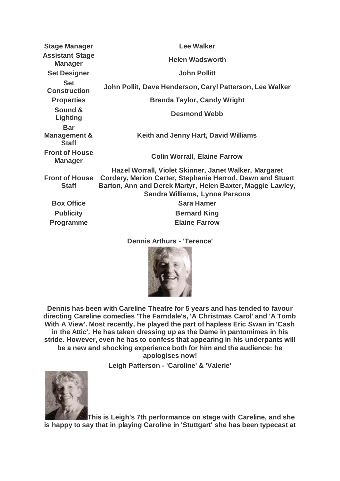| <b>Stage Manager</b>                                  | <b>Lee Walker</b>                                                                                                                                                                                                         |
|-------------------------------------------------------|---------------------------------------------------------------------------------------------------------------------------------------------------------------------------------------------------------------------------|
| <b>Assistant Stage</b><br><b>Manager</b>              | <b>Helen Wadsworth</b>                                                                                                                                                                                                    |
| <b>Set Designer</b>                                   | <b>John Pollitt</b>                                                                                                                                                                                                       |
| <b>Set</b><br><b>Construction</b>                     | John Pollit, Dave Henderson, Caryl Patterson, Lee Walker                                                                                                                                                                  |
| <b>Properties</b>                                     | <b>Brenda Taylor, Candy Wright</b>                                                                                                                                                                                        |
| Sound &<br>Lighting                                   | <b>Desmond Webb</b>                                                                                                                                                                                                       |
| <b>Bar</b><br><b>Management &amp;</b><br><b>Staff</b> | <b>Keith and Jenny Hart, David Williams</b>                                                                                                                                                                               |
| <b>Front of House</b><br><b>Manager</b>               | <b>Colin Worrall, Elaine Farrow</b>                                                                                                                                                                                       |
| <b>Front of House</b><br><b>Staff</b>                 | Hazel Worrall, Violet Skinner, Janet Walker, Margaret<br>Cordery, Marion Carter, Stephanie Herrod, Dawn and Stuart<br>Barton, Ann and Derek Martyr, Helen Baxter, Maggie Lawley,<br><b>Sandra Williams, Lynne Parsons</b> |
| <b>Box Office</b>                                     | <b>Sara Hamer</b>                                                                                                                                                                                                         |
| <b>Publicity</b>                                      | <b>Bernard King</b>                                                                                                                                                                                                       |
| <b>Programme</b>                                      | <b>Elaine Farrow</b>                                                                                                                                                                                                      |

**Dennis Arthurs - 'Terence'**



**Dennis has been with Careline Theatre for 5 years and has tended to favour directing Careline comedies 'The Farndale's, 'A Christmas Carol' and 'A Tomb With A View'. Most recently, he played the part of hapless Eric Swan in 'Cash in the Attic'. He has taken dressing up as the Dame in pantomimes in his stride. However, even he has to confess that appearing in his underpants will be a new and shocking experience both for him and the audience: he apologises now!**

**Leigh Patterson - 'Caroline' & 'Valerie'**



**This is Leigh's 7th performance on stage with Careline, and she is happy to say that in playing Caroline in 'Stuttgart' she has been typecast at**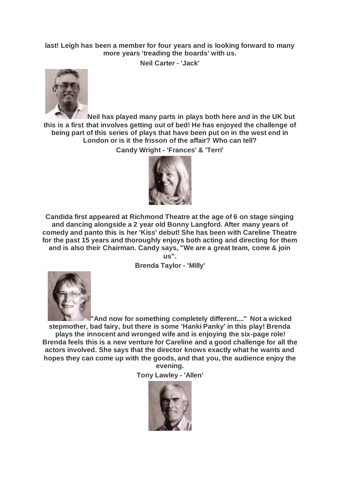## **last! Leigh has been a member for four years and is looking forward to many more years 'treading the boards' with us.**

**Neil Carter - 'Jack'**



**Neil has played many parts in plays both here and in the UK but this is a first that involves getting out of bed! He has enjoyed the challenge of being part of this series of plays that have been put on in the west end in London or is it the frisson of the affair? Who can tell?**

**Candy Wright - 'Frances' & 'Terri'**



**Candida first appeared at Richmond Theatre at the age of 6 on stage singing and dancing alongside a 2 year old Bonny Langford. After many years of comedy and panto this is her 'Kiss' debut! She has been with Careline Theatre for the past 15 years and thoroughly enjoys both acting and directing for them and is also their Chairman. Candy says, "We are a great team, come & join us".**

**Brenda Taylor - 'Milly'**



**"And now for something completely different...." Not a wicked stepmother, bad fairy, but there is some 'Hanki Panky' in this play! Brenda plays the innocent and wronged wife and is enjoying the six-page role! Brenda feels this is a new venture for Careline and a good challenge for all the actors involved. She says that the director knows exactly what he wants and hopes they can come up with the goods, and that you, the audience enjoy the evening.**

**Tony Lawley - 'Allen'**

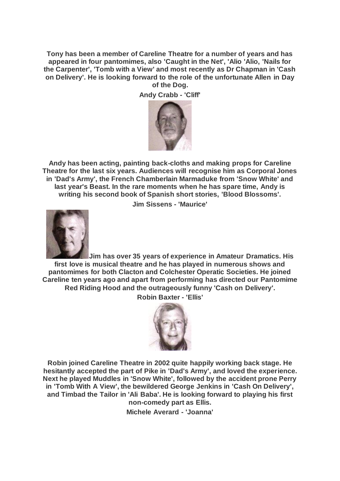**Tony has been a member of Careline Theatre for a number of years and has appeared in four pantomimes, also 'Caught in the Net', 'Alio 'Alio, 'Nails for the Carpenter', 'Tomb with a View' and most recently as Dr Chapman in 'Cash on Delivery'. He is looking forward to the role of the unfortunate Allen in Day of the Dog.**

**Andy Crabb - 'Cliff'**



**Andy has been acting, painting back-cloths and making props for Careline Theatre for the last six years. Audiences will recognise him as Corporal Jones in 'Dad's Army', the French Chamberlain Marmaduke from 'Snow White' and last year's Beast. In the rare moments when he has spare time, Andy is writing his second book of Spanish short stories, 'Blood Blossoms'.**

**Jim Sissens - 'Maurice'**



**Jim has over 35 years of experience in Amateur Dramatics. His first love is musical theatre and he has played in numerous shows and pantomimes for both Clacton and Colchester Operatic Societies. He joined Careline ten years ago and apart from performing has directed our Pantomime Red Riding Hood and the outrageously funny 'Cash on Delivery'. Robin Baxter - 'Ellis'**



**Robin joined Careline Theatre in 2002 quite happily working back stage. He hesitantly accepted the part of Pike in 'Dad's Army', and loved the experience. Next he played Muddles in 'Snow White', followed by the accident prone Perry in 'Tomb With A View', the bewildered George Jenkins in 'Cash On Delivery', and Timbad the Tailor in 'Ali Baba'. He is looking forward to playing his first non-comedy part as Ellis.**

**Michele Averard - 'Joanna'**